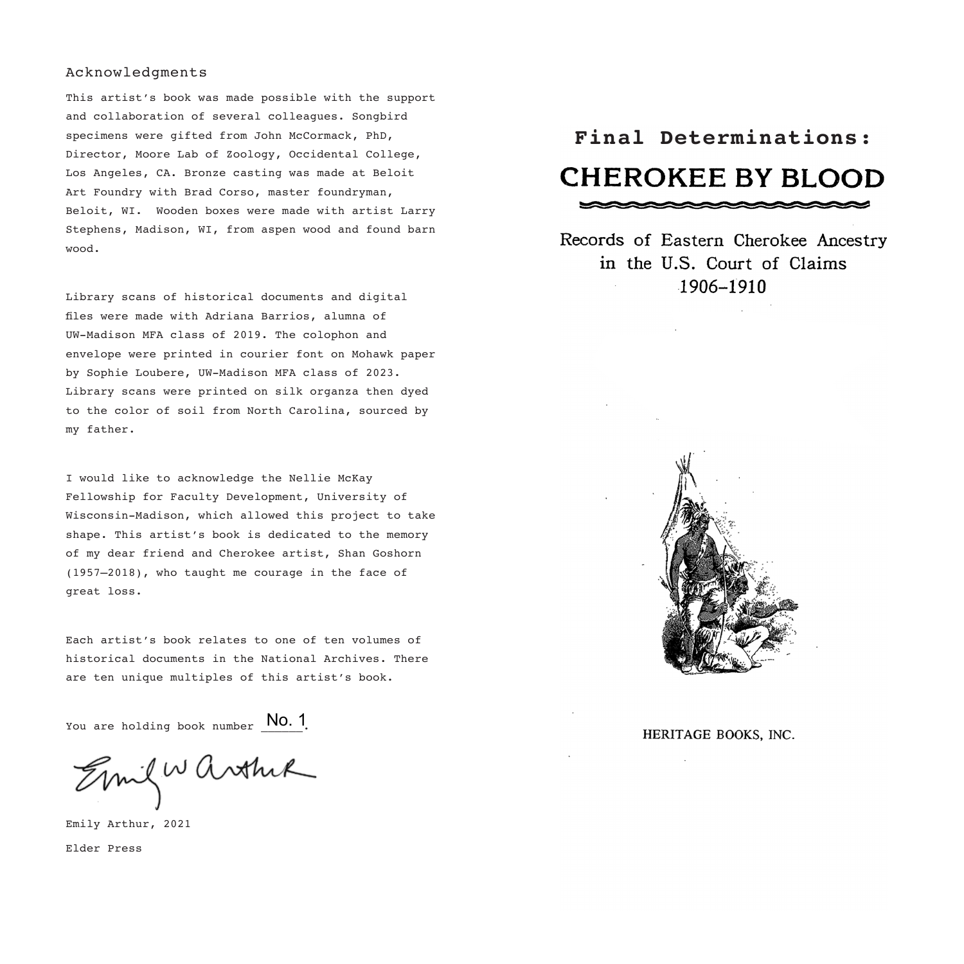### Acknowledgments

This artist's book was made possible with the support and collaboration of several colleagues. Songbird specimens were gifted from John McCormack, PhD, Director, Moore Lab of Zoology, Occidental College, Los Angeles, CA. Bronze casting was made at Beloit Art Foundry with Brad Corso, master foundryman, Beloit, WI. Wooden boxes were made with artist Larry Stephens, Madison, WI, from aspen wood and found barn wood.

Library scans of historical documents and digital files were made with Adriana Barrios, alumna of UW-Madison MFA class of 2019. The colophon and envelope were printed in courier font on Mohawk paper by Sophie Loubere, UW-Madison MFA class of 2023. Library scans were printed on silk organza then dyed to the color of soil from North Carolina, sourced by my father.

I would like to acknowledge the Nellie McKay Fellowship for Faculty Development, University of Wisconsin-Madison, which allowed this project to take shape. This artist's book is dedicated to the memory of my dear friend and Cherokee artist, Shan Goshorn (1957–2018), who taught me courage in the face of great loss.

Each artist's book relates to one of ten volumes of historical documents in the National Archives. There are ten unique multiples of this artist's book.

You are holding book number  $\boxed{\text{No. 1}}.$ 

Emil Warthir

Emily Arthur, 2021 Elder Press

# **Final Determinations: CHEROKEE BY BLOOD**

 $\sim$   $\sim$   $\sim$   $\sim$   $\sim$   $\sim$ 

Records of Eastern Cherokee Ancestry in the U.S. Court of Claims 1906-1910



HERITAGE BOOKS, INC.